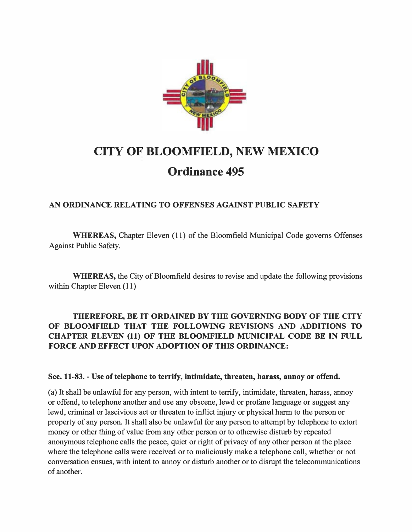

## CITY OF BLOOMFIELD, NEW MEXICO Ordinance 495

## AN ORDINANCE RELATING TO OFFENSES AGAINST PUBLIC SAFETY

WHEREAS, Chapter Eleven (11) of the Bloomfield Municipal Code governs Offenses Against Public Safety.

WHEREAS, the City of Bloomfield desires to revise and update the following provisions within Chapter Eleven (11)

## THEREFORE, BE IT ORDAINED BY THE GOVERNING BODY OF THE CITY OF BLOOMFIELD THAT THE FOLLOWING REVISIONS AND ADDITIONS TO CHAPTER ELEVEN (11) OF THE BLOOMFIELD MUNICIPAL CODE BE IN FULL FORCE AND EFFECT UPON ADOPTION OF THIS ORDINANCE:

## Sec. 11-83. - Use of telephone to terrify, intimidate, threaten, harass, annoy or offend.

(a) It shall be unlawful for any person, with intent to terrify, intimidate, threaten, harass, annoy or offend, to telephone another and use any obscene, lewd or profane language or suggest any lewd, criminal or lascivious act or threaten to inflict injury or physical harm to the person or property of any person. It shall also be unlawful for any person to attempt by telephone to extort money or other thing of value from any other person or to otherwise disturb by repeated anonymous telephone calls the peace, quiet or right of privacy of any other person at the place where the telephone calls were received or to maliciously make a telephone call, whether or not conversation ensues, with intent to annoy or disturb another or to disrupt the telecommunications of another.